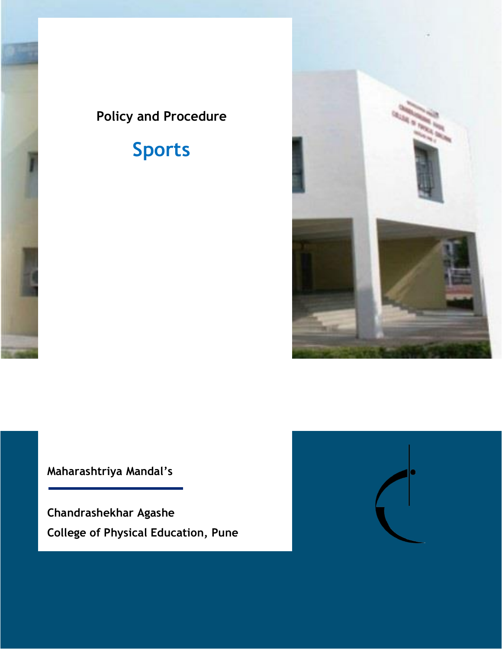# **Policy and Procedure**

# **Sports**



**Maharashtriya Mandal's**

**Chandrashekhar Agashe College of Physical Education, Pune**

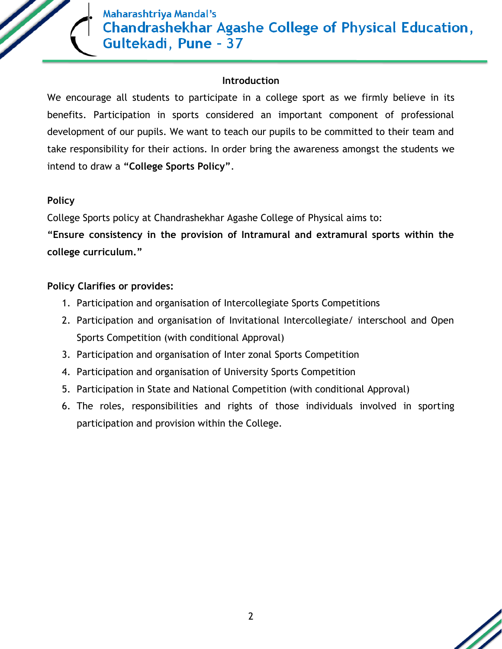

#### **Introduction**

We encourage all students to participate in a college sport as we firmly believe in its benefits. Participation in sports considered an important component of professional development of our pupils. We want to teach our pupils to be committed to their team and take responsibility for their actions. In order bring the awareness amongst the students we intend to draw a **"College Sports Policy"**.

#### **Policy**

College Sports policy at Chandrashekhar Agashe College of Physical aims to:

**"Ensure consistency in the provision of Intramural and extramural sports within the college curriculum."** 

#### **Policy Clarifies or provides:**

- 1. Participation and organisation of Intercollegiate Sports Competitions
- 2. Participation and organisation of Invitational Intercollegiate/ interschool and Open Sports Competition (with conditional Approval)
- 3. Participation and organisation of Inter zonal Sports Competition
- 4. Participation and organisation of University Sports Competition
- 5. Participation in State and National Competition (with conditional Approval)
- 6. The roles, responsibilities and rights of those individuals involved in sporting participation and provision within the College.

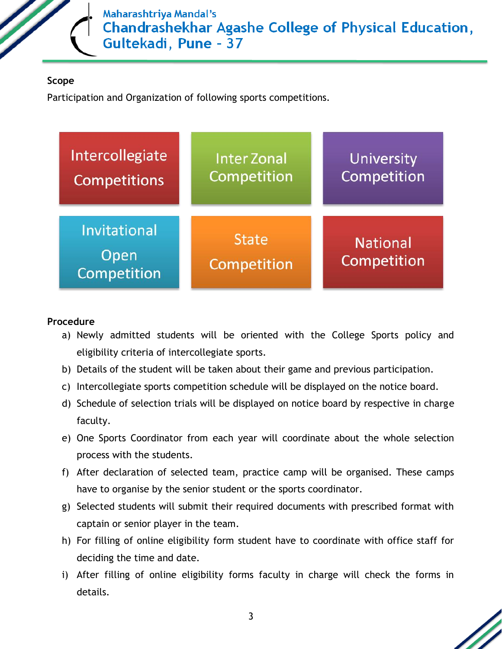

#### **Scope**

Participation and Organization of following sports competitions.



#### **Procedure**

- a) Newly admitted students will be oriented with the College Sports policy and eligibility criteria of intercollegiate sports.
- b) Details of the student will be taken about their game and previous participation.
- c) Intercollegiate sports competition schedule will be displayed on the notice board.
- d) Schedule of selection trials will be displayed on notice board by respective in charge faculty.
- e) One Sports Coordinator from each year will coordinate about the whole selection process with the students.
- f) After declaration of selected team, practice camp will be organised. These camps have to organise by the senior student or the sports coordinator.
- g) Selected students will submit their required documents with prescribed format with captain or senior player in the team.
- h) For filling of online eligibility form student have to coordinate with office staff for deciding the time and date.
- i) After filling of online eligibility forms faculty in charge will check the forms in details.

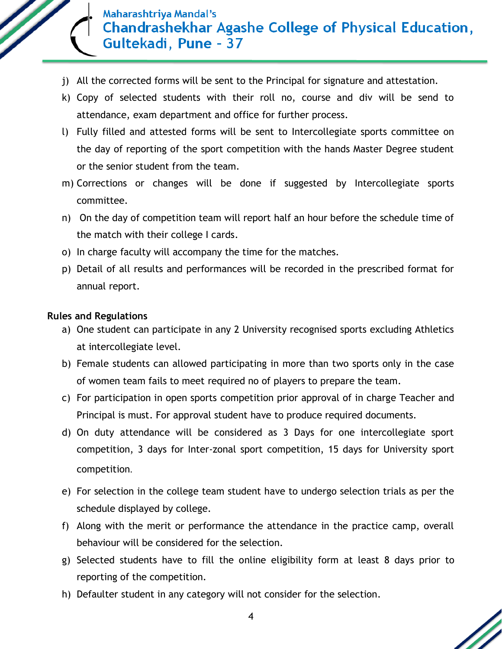

- j) All the corrected forms will be sent to the Principal for signature and attestation.
- k) Copy of selected students with their roll no, course and div will be send to attendance, exam department and office for further process.
- l) Fully filled and attested forms will be sent to Intercollegiate sports committee on the day of reporting of the sport competition with the hands Master Degree student or the senior student from the team.
- m) Corrections or changes will be done if suggested by Intercollegiate sports committee.
- n) On the day of competition team will report half an hour before the schedule time of the match with their college I cards.
- o) In charge faculty will accompany the time for the matches.
- p) Detail of all results and performances will be recorded in the prescribed format for annual report.

#### **Rules and Regulations**

- a) One student can participate in any 2 University recognised sports excluding Athletics at intercollegiate level.
- b) Female students can allowed participating in more than two sports only in the case of women team fails to meet required no of players to prepare the team.
- c) For participation in open sports competition prior approval of in charge Teacher and Principal is must. For approval student have to produce required documents.
- d) On duty attendance will be considered as 3 Days for one intercollegiate sport competition, 3 days for Inter-zonal sport competition, 15 days for University sport competition.
- e) For selection in the college team student have to undergo selection trials as per the schedule displayed by college.
- f) Along with the merit or performance the attendance in the practice camp, overall behaviour will be considered for the selection.
- g) Selected students have to fill the online eligibility form at least 8 days prior to reporting of the competition.
- h) Defaulter student in any category will not consider for the selection.

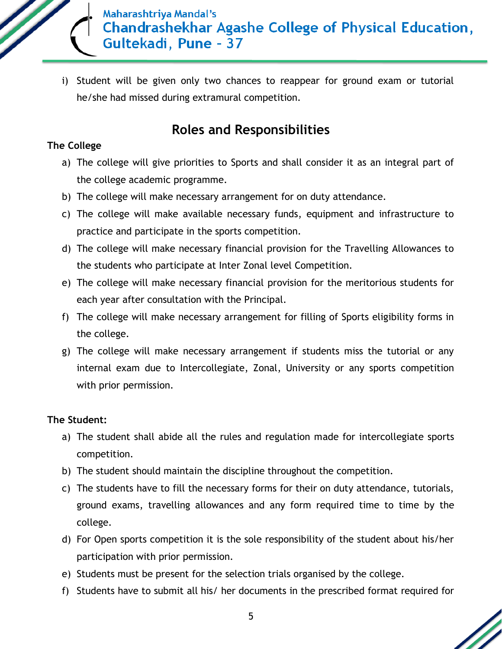

i) Student will be given only two chances to reappear for ground exam or tutorial he/she had missed during extramural competition.

# **Roles and Responsibilities**

#### **The College**

- a) The college will give priorities to Sports and shall consider it as an integral part of the college academic programme.
- b) The college will make necessary arrangement for on duty attendance.
- c) The college will make available necessary funds, equipment and infrastructure to practice and participate in the sports competition.
- d) The college will make necessary financial provision for the Travelling Allowances to the students who participate at Inter Zonal level Competition.
- e) The college will make necessary financial provision for the meritorious students for each year after consultation with the Principal.
- f) The college will make necessary arrangement for filling of Sports eligibility forms in the college.
- g) The college will make necessary arrangement if students miss the tutorial or any internal exam due to Intercollegiate, Zonal, University or any sports competition with prior permission.

#### **The Student:**

- a) The student shall abide all the rules and regulation made for intercollegiate sports competition.
- b) The student should maintain the discipline throughout the competition.
- c) The students have to fill the necessary forms for their on duty attendance, tutorials, ground exams, travelling allowances and any form required time to time by the college.
- d) For Open sports competition it is the sole responsibility of the student about his/her participation with prior permission.
- e) Students must be present for the selection trials organised by the college.
- f) Students have to submit all his/ her documents in the prescribed format required for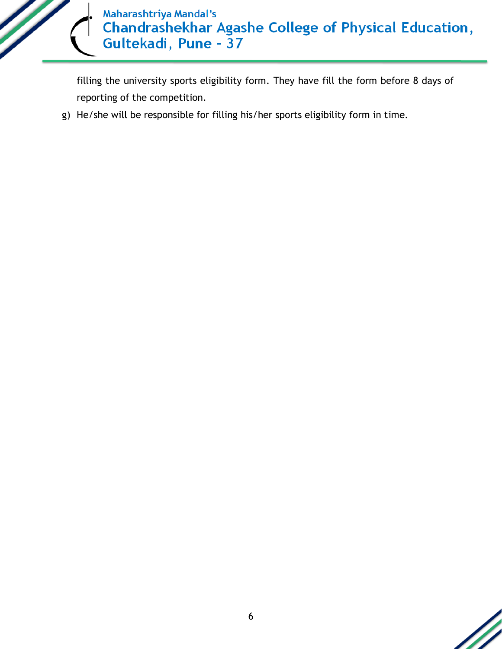

filling the university sports eligibility form. They have fill the form before 8 days of reporting of the competition.

g) He/she will be responsible for filling his/her sports eligibility form in time.

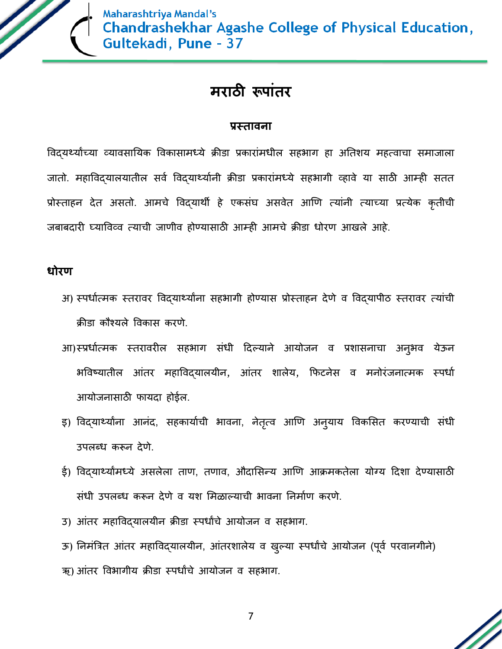

# **मराठी रूपाांतर**

#### **प्रस्तावना**

विदयर्थ्यांच्या व्यावसायिक विकासामध्ये क्रीडा प्रकारांमधील सहभाग हा अतिशय महत्वाचा समाजाला जातो. महाविद्यालयातील सर्व विद्यार्थ्यानी क्रीडा प्रकारांमध्ये सहभागी व्हावे या साठी आम्ही सतत प्रोस्ताहन देत असतो. आमचे विदयार्थी हे एकसंघ असवेत आणि त्यांनी त्याच्या प्रत्येक कृतीची जबाबदारी घ्याविव्व त्याची जाणीव होण्यासाठी आम्ही आमचे क्रीडा धोरण आखले आहे.

## **धोरण**

- अ) स्पर्धात्मक स्तरावर विद्यार्थ्यांना सहभागी होण्यास प्रोस्ताहन देणे व विद्यापीठ स्तरावर त्यांची क्रीडा कौश्यले विकास करणे.
- आ)स्प्रधीत्मक स्तरावरील सहभाग संधी दिल्याने आयोजन व प्रशासनाचा अनुभव येऊन भविष्यातील आंतर महाविद्यालयीन, आंतर शालेय, फिटनेस व मनोरंजनात्मक स्पर्धा आयोजनासाठी फायदा होईल.
- इ) विद्यार्थ्यांना आनंद, सहकार्याची भावना, नेतृत्व आणि अन्याय विकसित करण्याची संधी उपलब्ध करून देते.
- ई) विदयार्थ्यांमध्ये असलेला ताण, तणाव, औदासिन्य आणि आक्रमकतेला योग्य दिशा देण्यासाठी संधी उपलब्ध करून देणे व यश मिळाल्याची भावना निर्माण करणे.
- उ) आंतर महाविद्यालयीन क्रीडा स्पर्धांचे आयोजन व सहभाग.
- ऊ) निमंत्रित आंतर महाविद्यालयीन, आंतरशालेय व खुल्या स्पर्धांचे आयोजन (पूर्व परवानगीने) ऋ) आंतर विभागीय क्रीडा स्पर्धांचे आयोजन व सहभाग.

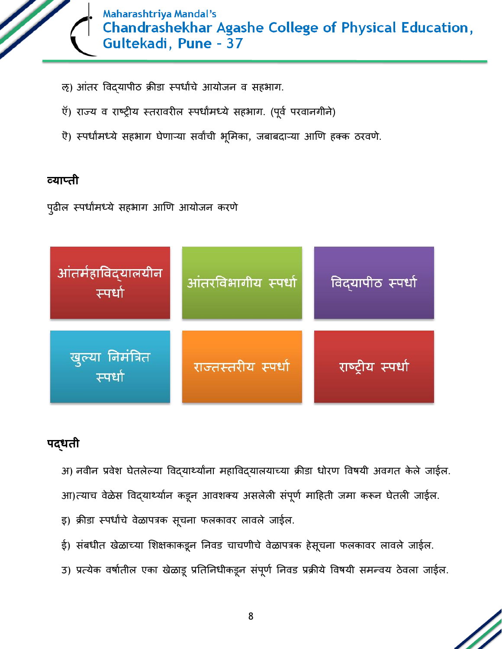

- ऌ) आंतर विदयापीठ क्रीडा स्पर्धांचे आयोजन व सहभाग.
- ऍ) राज्य व राष्ट्रीय स्तरावरील स्पर्धांमध्ये सहभाग. (पूर्व परवानगीने)
- ऎ) स्पर्धामध्ये सहभाग घेणाऱ्या सर्वांची भूमिका, जबाबदाऱ्या आणि हक्क ठरवणे.

## **व्याप्ती**

पुढील स्पर्धांमध्ये सहभाग आणि आयोजन करणे



# **पद्धती**

अ) नवीन प्रवेश घेतलेल्या विद्यार्थ्यांना महाविद्यालयाच्या क्रीडा धोरण विषयी अवगत केले जाईल. आ)त्याच वेळेस विद्यार्थ्यान कडून आवशक्य असलेली संपूर्ण माहिती जमा करून घेतली जाईल.

- इ) क्रीडा स्पर्धांचे वेळापत्रक सूचना फलकावर लावले जाईल.
- ई) संबधीत खेळाच्या शिक्षकाकडून निवड चाचणीचे वेळापत्रक हेसूचना फलकावर लावले जाईल.
- उ) प्रत्येक वर्षातील एका खेळाडू प्रतिनिधीकडून संपूर्ण निवड प्रक्रीये विषयी समन्वय ठेवला जाईल.

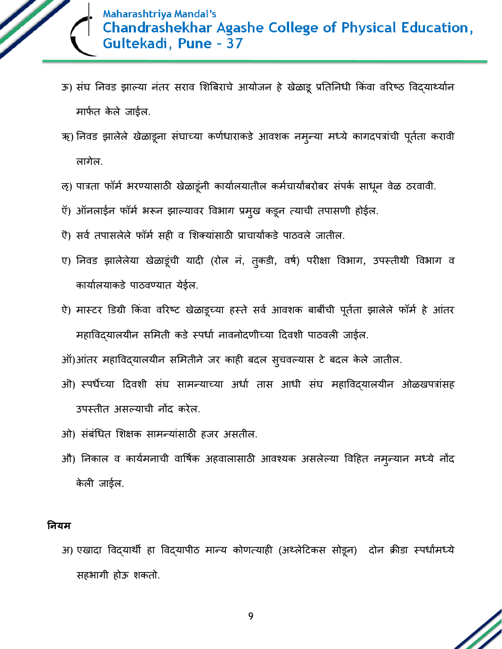

- ऊ) संघ निवड झाल्या नंतर सराव शिबिराचे आयोजन हे खेळाडू प्रतिनिधी किंवा वरिष्ठ विद्यार्थ्यान मार्फत केले जाईल.
- ऋ) निवड झालेले खेळाडूना संघाच्या कर्णधाराकडे आवशक नमुन्या मध्ये कागदपत्रांची पूर्तता करावी लागेल.
- ऌ) पात्रता फॉर्म भरण्यासाठी खेळाडूंनी कार्यालयातील कर्मचार्यांबरोबर संपर्क साधून वेळ ठरवावी.
- ऍ) ऑनलाईन फॉर्म भरून झाल्यावर विभाग प्रमुख कडून त्याची तपासणी होईल.
- ऐ) सर्व तपासलेले फॉर्म सही व शिक्यांसाठी प्राचार्याकडे पाठवले जातील.
- ए) निवड झालेलेया खेळाडूंची यादी (रोल नं, तुकडी, वर्ष) परीक्षा विभाग, उपस्तीथी विभाग व कार्यालयाकडे पाठवण्यात येईल.
- ऐ) मास्टर डिग्री किंवा वरिष्ट खेळाडूच्या हस्ते सर्व आवशक बाबींची पूर्तता झालेले फॉर्म हे आंतर महाविद्यालयीन समिती कडे स्पर्धा नावनोदणीच्या दिवशी पाठवली जाईल.
- ऑ)आंतर महाविद्यालयीन समितीने जर काही बदल सूचवल्यास टे बदल केले जातील.
- ओ) स्पर्धेच्या दिवशी संघ सामन्याच्या अर्धा तास आधी संघ महाविद्यालयीन ओळखपत्रांसह उपस्िीि असल्ययची नोंद करेल.
- ओ) संबंधित शिक्षक सामन्यांसाठी हजर असतील.
- औ) निकाल व कार्यमनाची वार्षिक अहवालासाठी आवश्यक असलेल्या विहित नमुन्यान मध्ये नोंद केली जाईल.

#### **ननयम**

अ) एखादा विद्यार्थी हा विद्यापीठ मान्य कोणत्याही (अथ्लेटिकस सोडून) दोन क्रीडा स्पर्धांमध्ये सहभयगी होऊ शकिो.

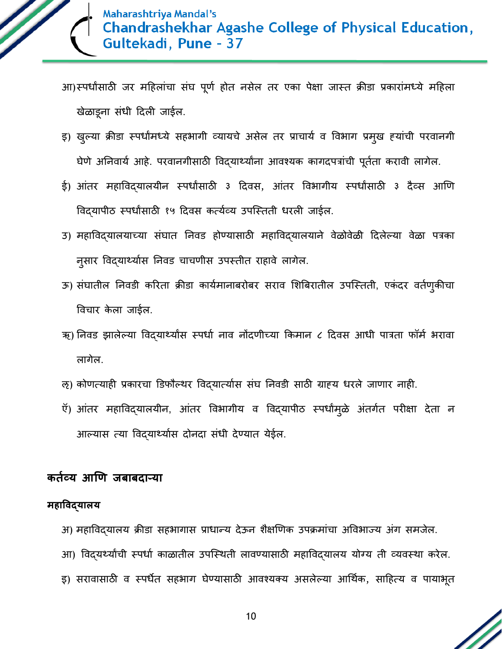

आ)स्पर्धांसाठी जर महिलांचा संघ पूर्ण होत नसेल तर एका पेक्षा जास्त क्रीडा प्रकारांमध्ये महिला खेळयड्नय सांधी ददली जयईल.

- इ) खुल्या क्रीडा स्पर्धांमध्ये सहभागी व्यायचे असेल तर प्राचार्य व विभाग प्रमुख हयांची परवानगी घेणे अनिवार्य आहे. परवानगीसाठी विदयार्थ्यांना आवश्यक कागदपत्रांची पूर्तता करावी लागेल.
- ई) आंतर महाविद्यालयीन स्पर्धांसाठी ३ दिवस, आंतर विभागीय स्पर्धांसाठी ३ दैव्स आणि विद्यापीठ स्पर्धांसाठी १५ दिवस कर्त्यव्य उपस्तिती धरली जाईल.
- उ) महाविदयालयाच्या संघात निवड होण्यासाठी महाविदयालयाने वेळोवेळी दिलेल्या वेळा पत्रका नुसार विदयार्थ्यास निवड चाचणीस उपस्तीत राहावे लागेल.
- ऊ) संघातील निवडी करिता क्रीडा कार्यमानाबरोबर सराव शिबिरातील उपस्तिती, एकंदर वर्तणुकीचा विचार केला जाईल.
- ऋ) निवड झालेल्या विद्यार्थ्यांस स्पर्धा नाव नोंदणीच्या किमान ८ दिवस आधी पात्रता फॉर्म भरावा लागेल.
- ऌ) कोणत्याही प्रकारचा डिफौल्थर विद्यात्यास संघ निवडी साठी ग्राह्य धरले जाणार नाही.
- ऍ) आंतर महाविद्यालयीन, आंतर विभागीय व विद्यापीठ स्पर्धांमुळे अंतर्गत परीक्षा देता न आल्यास त्या विद्यार्थ्यास दोनदा संधी देण्यात येईल.

### कर्तव्य आणि जबाबदा**न्या**

#### **महाववद्यालय**

- अ) महाविदयालय क्रीडा सहभागास प्राधान्य देऊन शैक्षणिक उपक्रमांचा अविभाज्य अंग समजेल.
- आ) विद्यर्थ्यांची स्पर्धा काळातील उपस्थिती लावण्यासाठी महाविद्यालय योग्य ती व्यवस्था करेल.
- इ) सरावासाठी व स्पर्धेत सहभाग घेण्यासाठी आवश्यक्य असलेल्या आर्थिक, साहित्य व पायाभूत